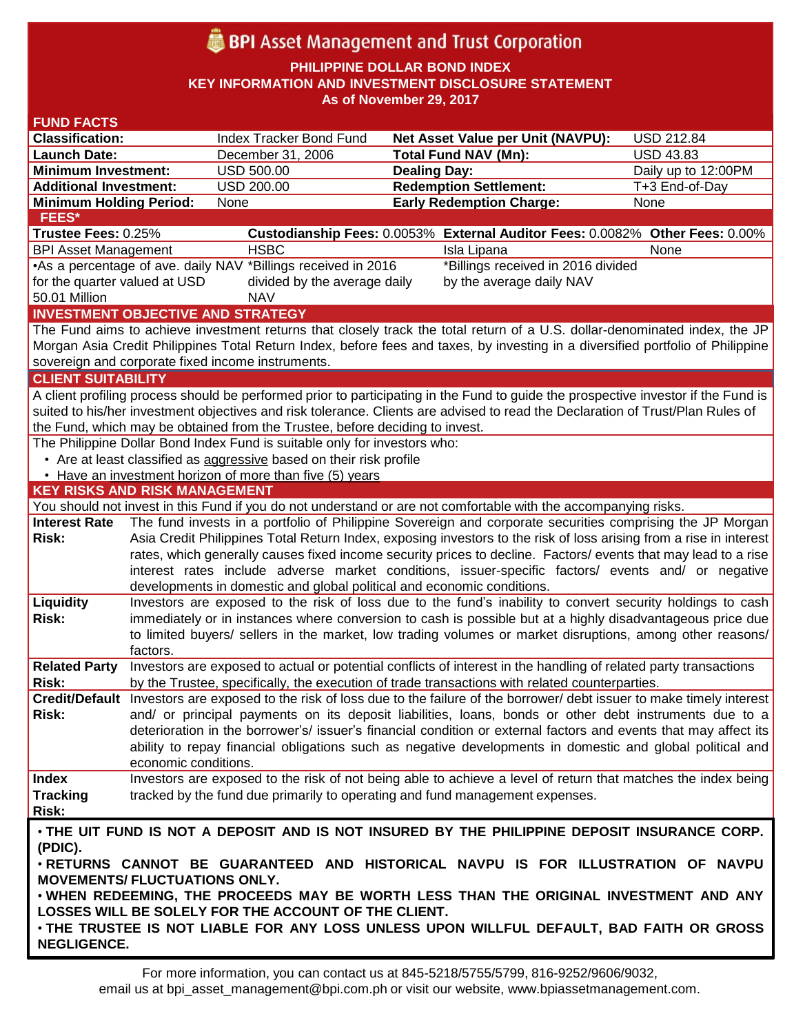# **BPI** Asset Management and Trust Corporation

**PHILIPPINE DOLLAR BOND INDEX**

**KEY INFORMATION AND INVESTMENT DISCLOSURE STATEMENT**

**As of November 29, 2017**

| <b>FUND FACTS</b>                        |                      |                                                                              |                                                                                                                                    |                     |
|------------------------------------------|----------------------|------------------------------------------------------------------------------|------------------------------------------------------------------------------------------------------------------------------------|---------------------|
| <b>Classification:</b>                   |                      | Index Tracker Bond Fund                                                      | <b>Net Asset Value per Unit (NAVPU):</b>                                                                                           | <b>USD 212.84</b>   |
| <b>Launch Date:</b>                      |                      | December 31, 2006                                                            | <b>Total Fund NAV (Mn):</b>                                                                                                        | <b>USD 43.83</b>    |
| <b>Minimum Investment:</b>               |                      | <b>USD 500.00</b>                                                            | <b>Dealing Day:</b>                                                                                                                | Daily up to 12:00PM |
| <b>Additional Investment:</b>            |                      | <b>USD 200.00</b>                                                            | <b>Redemption Settlement:</b>                                                                                                      | T+3 End-of-Day      |
| <b>Minimum Holding Period:</b>           |                      | None                                                                         | <b>Early Redemption Charge:</b>                                                                                                    | None                |
| <b>FEES*</b>                             |                      |                                                                              |                                                                                                                                    |                     |
| Trustee Fees: 0.25%                      |                      |                                                                              | Custodianship Fees: 0.0053% External Auditor Fees: 0.0082% Other Fees: 0.00%                                                       |                     |
| <b>BPI Asset Management</b>              |                      | <b>HSBC</b>                                                                  | Isla Lipana                                                                                                                        | None                |
|                                          |                      | •As a percentage of ave. daily NAV *Billings received in 2016                | *Billings received in 2016 divided                                                                                                 |                     |
| for the quarter valued at USD            |                      | divided by the average daily                                                 | by the average daily NAV                                                                                                           |                     |
| 50.01 Million                            |                      | <b>NAV</b>                                                                   |                                                                                                                                    |                     |
| <b>INVESTMENT OBJECTIVE AND STRATEGY</b> |                      |                                                                              |                                                                                                                                    |                     |
|                                          |                      |                                                                              | The Fund aims to achieve investment returns that closely track the total return of a U.S. dollar-denominated index, the JP         |                     |
|                                          |                      |                                                                              | Morgan Asia Credit Philippines Total Return Index, before fees and taxes, by investing in a diversified portfolio of Philippine    |                     |
|                                          |                      | sovereign and corporate fixed income instruments.                            |                                                                                                                                    |                     |
| <b>CLIENT SUITABILITY</b>                |                      |                                                                              |                                                                                                                                    |                     |
|                                          |                      |                                                                              | A client profiling process should be performed prior to participating in the Fund to guide the prospective investor if the Fund is |                     |
|                                          |                      |                                                                              | suited to his/her investment objectives and risk tolerance. Clients are advised to read the Declaration of Trust/Plan Rules of     |                     |
|                                          |                      | the Fund, which may be obtained from the Trustee, before deciding to invest. |                                                                                                                                    |                     |
|                                          |                      | The Philippine Dollar Bond Index Fund is suitable only for investors who:    |                                                                                                                                    |                     |
|                                          |                      | • Are at least classified as aggressive based on their risk profile          |                                                                                                                                    |                     |
|                                          |                      | • Have an investment horizon of more than five (5) years                     |                                                                                                                                    |                     |
| <b>KEY RISKS AND RISK MANAGEMENT</b>     |                      |                                                                              |                                                                                                                                    |                     |
|                                          |                      |                                                                              | You should not invest in this Fund if you do not understand or are not comfortable with the accompanying risks.                    |                     |
| <b>Interest Rate</b>                     |                      |                                                                              |                                                                                                                                    |                     |
|                                          |                      |                                                                              | The fund invests in a portfolio of Philippine Sovereign and corporate securities comprising the JP Morgan                          |                     |
| Risk:                                    |                      |                                                                              | Asia Credit Philippines Total Return Index, exposing investors to the risk of loss arising from a rise in interest                 |                     |
|                                          |                      |                                                                              | rates, which generally causes fixed income security prices to decline. Factors/ events that may lead to a rise                     |                     |
|                                          |                      |                                                                              | interest rates include adverse market conditions, issuer-specific factors/ events and/ or negative                                 |                     |
|                                          |                      | developments in domestic and global political and economic conditions.       |                                                                                                                                    |                     |
| Liquidity                                |                      |                                                                              | Investors are exposed to the risk of loss due to the fund's inability to convert security holdings to cash                         |                     |
| Risk:                                    |                      |                                                                              | immediately or in instances where conversion to cash is possible but at a highly disadvantageous price due                         |                     |
|                                          |                      |                                                                              | to limited buyers/ sellers in the market, low trading volumes or market disruptions, among other reasons/                          |                     |
|                                          | factors.             |                                                                              |                                                                                                                                    |                     |
| <b>Related Party</b>                     |                      |                                                                              | Investors are exposed to actual or potential conflicts of interest in the handling of related party transactions                   |                     |
| Risk:                                    |                      |                                                                              | by the Trustee, specifically, the execution of trade transactions with related counterparties.                                     |                     |
|                                          |                      |                                                                              | Credit/Default Investors are exposed to the risk of loss due to the failure of the borrower/ debt issuer to make timely interest   |                     |
| Risk:                                    |                      |                                                                              | and/ or principal payments on its deposit liabilities, loans, bonds or other debt instruments due to a                             |                     |
|                                          |                      |                                                                              | deterioration in the borrower's/ issuer's financial condition or external factors and events that may affect its                   |                     |
|                                          |                      |                                                                              | ability to repay financial obligations such as negative developments in domestic and global political and                          |                     |
|                                          | economic conditions. |                                                                              |                                                                                                                                    |                     |
| <b>Index</b>                             |                      |                                                                              | Investors are exposed to the risk of not being able to achieve a level of return that matches the index being                      |                     |
| <b>Tracking</b><br>Risk:                 |                      |                                                                              | tracked by the fund due primarily to operating and fund management expenses.                                                       |                     |
|                                          |                      |                                                                              |                                                                                                                                    |                     |
|                                          |                      |                                                                              | . THE UIT FUND IS NOT A DEPOSIT AND IS NOT INSURED BY THE PHILIPPINE DEPOSIT INSURANCE CORP.                                       |                     |
| (PDIC).                                  |                      |                                                                              |                                                                                                                                    |                     |
|                                          |                      |                                                                              | . RETURNS CANNOT BE GUARANTEED AND HISTORICAL NAVPU IS FOR ILLUSTRATION OF NAVPU                                                   |                     |
| <b>MOVEMENTS/ FLUCTUATIONS ONLY.</b>     |                      |                                                                              |                                                                                                                                    |                     |
|                                          |                      |                                                                              | . WHEN REDEEMING, THE PROCEEDS MAY BE WORTH LESS THAN THE ORIGINAL INVESTMENT AND ANY                                              |                     |
|                                          |                      | LOSSES WILL BE SOLELY FOR THE ACCOUNT OF THE CLIENT.                         | . THE TRUSTEE IS NOT LIABLE FOR ANY LOSS UNLESS UPON WILLFUL DEFAULT, BAD FAITH OR GROSS                                           |                     |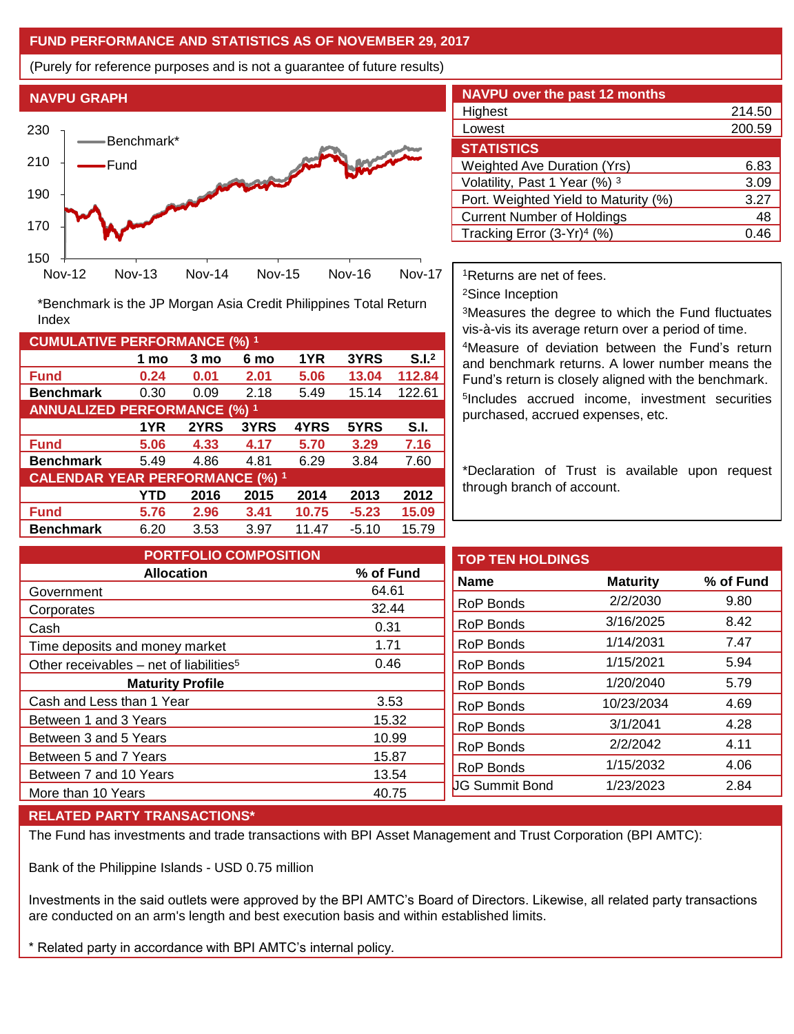## **FUND PERFORMANCE AND STATISTICS AS OF NOVEMBER 29, 2017**

(Purely for reference purposes and is not a guarantee of future results)



**Fund 0.24 0.01 2.01 5.06 13.04 112.84 Benchmark** 0.30 0.09 2.18 5.49 15.14 122.61

\*Benchmark is the JP Morgan Asia Credit Philippines Total Return

**Fund 5.06 4.33 4.17 5.70 3.29 7.16 Benchmark** 5.49 4.86 4.81 6.29 3.84 7.60

**Fund 5.76 2.96 3.41 10.75 -5.23 15.09 Benchmark** 6.20 3.53 3.97 11.47 -5.10 15.79

**1 mo 3 mo 6 mo 1YR 3YRS S.I.<sup>2</sup>**

**1YR 2YRS 3YRS 4YRS 5YRS S.I.**

**YTD 2016 2015 2014 2013 2012**

| <b>NAVPU over the past 12 months</b>   |        |
|----------------------------------------|--------|
| Highest                                | 214.50 |
| Lowest                                 | 200.59 |
| <b>STATISTICS</b>                      |        |
| <b>Weighted Ave Duration (Yrs)</b>     | 6.83   |
| Volatility, Past 1 Year (%) 3          | 3.09   |
| Port. Weighted Yield to Maturity (%)   | 3.27   |
| <b>Current Number of Holdings</b>      | 48     |
| Tracking Error (3-Yr) <sup>4</sup> (%) | 0.46   |

<sup>1</sup>Returns are net of fees.

<sup>2</sup>Since Inception

<sup>3</sup>Measures the degree to which the Fund fluctuates vis-à-vis its average return over a period of time.

<sup>4</sup>Measure of deviation between the Fund's return and benchmark returns. A lower number means the Fund's return is closely aligned with the benchmark. 5 Includes accrued income, investment securities purchased, accrued expenses, etc.

\*Declaration of Trust is available upon request through branch of account.

| <b>PORTFOLIO COMPOSITION</b>                        |           | <b>TOP TEN HOLDINGS</b> |  |
|-----------------------------------------------------|-----------|-------------------------|--|
| <b>Allocation</b>                                   | % of Fund | <b>Name</b>             |  |
| Government                                          | 64.61     |                         |  |
| Corporates                                          | 32.44     | <b>RoP Bonds</b>        |  |
| Cash                                                | 0.31      | <b>RoP Bonds</b>        |  |
| Time deposits and money market                      | 1.71      | <b>RoP Bonds</b>        |  |
| Other receivables – net of liabilities <sup>5</sup> | 0.46      | <b>RoP Bonds</b>        |  |
| <b>Maturity Profile</b>                             |           | <b>RoP Bonds</b>        |  |
| Cash and Less than 1 Year                           | 3.53      | RoP Bonds               |  |
| Between 1 and 3 Years                               | 15.32     | <b>RoP Bonds</b>        |  |
| Between 3 and 5 Years                               | 10.99     | RoP Bonds               |  |
| Between 5 and 7 Years                               | 15.87     |                         |  |
| Between 7 and 10 Years                              | 13.54     | <b>RoP Bonds</b>        |  |
| More than 10 Years                                  | 40.75     | <b>UG Summit Bond</b>   |  |

### **RELATED PARTY TRANSACTIONS\***

**CUMULATIVE PERFORMANCE (%) <sup>1</sup>**

Index

**ANNUALIZED PERFORMANCE (%) <sup>1</sup>**

**CALENDAR YEAR PERFORMANCE (%) <sup>1</sup>**

The Fund has investments and trade transactions with BPI Asset Management and Trust Corporation (BPI AMTC):

Bank of the Philippine Islands - USD 0.75 million

Investments in the said outlets were approved by the BPI AMTC's Board of Directors. Likewise, all related party transactions are conducted on an arm's length and best execution basis and within established limits.

\* Related party in accordance with BPI AMTC's internal policy.